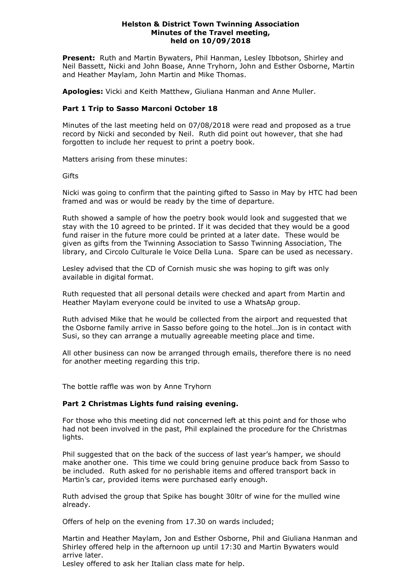## **Helston & District Town Twinning Association Minutes of the Travel meeting, held on 10/09/2018**

**Present:** Ruth and Martin Bywaters, Phil Hanman, Lesley Ibbotson, Shirley and Neil Bassett, Nicki and John Boase, Anne Tryhorn, John and Esther Osborne, Martin and Heather Maylam, John Martin and Mike Thomas.

**Apologies:** Vicki and Keith Matthew, Giuliana Hanman and Anne Muller.

## **Part 1 Trip to Sasso Marconi October 18**

Minutes of the last meeting held on 07/08/2018 were read and proposed as a true record by Nicki and seconded by Neil. Ruth did point out however, that she had forgotten to include her request to print a poetry book.

Matters arising from these minutes:

**Gifts** 

Nicki was going to confirm that the painting gifted to Sasso in May by HTC had been framed and was or would be ready by the time of departure.

Ruth showed a sample of how the poetry book would look and suggested that we stay with the 10 agreed to be printed. If it was decided that they would be a good fund raiser in the future more could be printed at a later date. These would be given as gifts from the Twinning Association to Sasso Twinning Association, The library, and Circolo Culturale le Voice Della Luna. Spare can be used as necessary.

Lesley advised that the CD of Cornish music she was hoping to gift was only available in digital format.

Ruth requested that all personal details were checked and apart from Martin and Heather Maylam everyone could be invited to use a WhatsAp group.

Ruth advised Mike that he would be collected from the airport and requested that the Osborne family arrive in Sasso before going to the hotel…Jon is in contact with Susi, so they can arrange a mutually agreeable meeting place and time.

All other business can now be arranged through emails, therefore there is no need for another meeting regarding this trip.

The bottle raffle was won by Anne Tryhorn

## **Part 2 Christmas Lights fund raising evening.**

For those who this meeting did not concerned left at this point and for those who had not been involved in the past, Phil explained the procedure for the Christmas lights.

Phil suggested that on the back of the success of last year's hamper, we should make another one. This time we could bring genuine produce back from Sasso to be included. Ruth asked for no perishable items and offered transport back in Martin's car, provided items were purchased early enough.

Ruth advised the group that Spike has bought 30ltr of wine for the mulled wine already.

Offers of help on the evening from 17.30 on wards included;

Martin and Heather Maylam, Jon and Esther Osborne, Phil and Giuliana Hanman and Shirley offered help in the afternoon up until 17:30 and Martin Bywaters would arrive later.

Lesley offered to ask her Italian class mate for help.